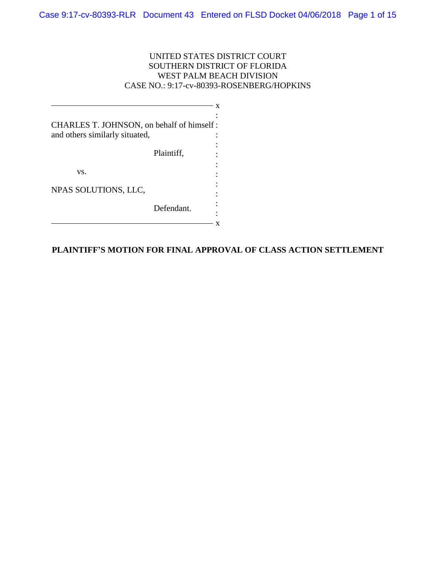# UNITED STATES DISTRICT COURT SOUTHERN DISTRICT OF FLORIDA WEST PALM BEACH DIVISION CASE NO.: 9:17-cv-80393-ROSENBERG/HOPKINS

| CHARLES T. JOHNSON, on behalf of himself: |            |  |
|-------------------------------------------|------------|--|
| and others similarly situated,            |            |  |
|                                           | Plaintiff, |  |
|                                           |            |  |
| VS.                                       |            |  |
| NPAS SOLUTIONS, LLC,                      |            |  |
|                                           | Defendant. |  |
|                                           |            |  |

# **PLAINTIFF'S MOTION FOR FINAL APPROVAL OF CLASS ACTION SETTLEMENT**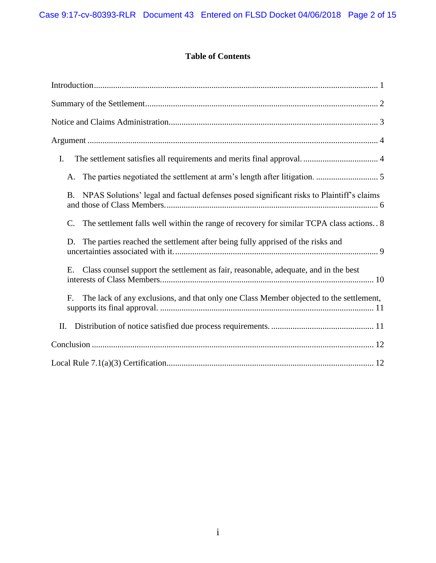# **Table of Contents**

| I.                                                                                             |
|------------------------------------------------------------------------------------------------|
| А.                                                                                             |
| NPAS Solutions' legal and factual defenses posed significant risks to Plaintiff's claims<br>B. |
| The settlement falls well within the range of recovery for similar TCPA class actions 8<br>C.  |
| The parties reached the settlement after being fully apprised of the risks and<br>D.           |
| Class counsel support the settlement as fair, reasonable, adequate, and in the best<br>Е.      |
| The lack of any exclusions, and that only one Class Member objected to the settlement,<br>F.   |
| II.                                                                                            |
|                                                                                                |
|                                                                                                |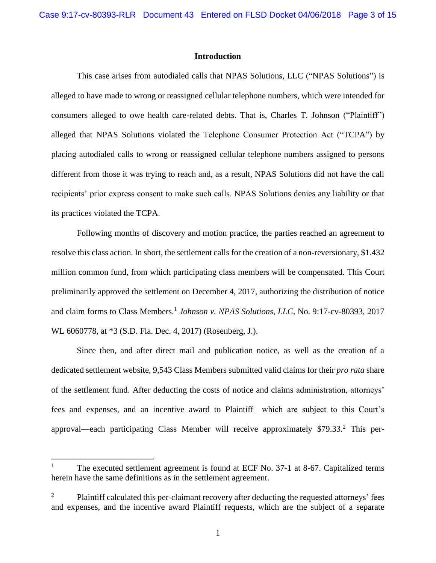### **Introduction**

<span id="page-2-0"></span>This case arises from autodialed calls that NPAS Solutions, LLC ("NPAS Solutions") is alleged to have made to wrong or reassigned cellular telephone numbers, which were intended for consumers alleged to owe health care-related debts. That is, Charles T. Johnson ("Plaintiff") alleged that NPAS Solutions violated the Telephone Consumer Protection Act ("TCPA") by placing autodialed calls to wrong or reassigned cellular telephone numbers assigned to persons different from those it was trying to reach and, as a result, NPAS Solutions did not have the call recipients' prior express consent to make such calls. NPAS Solutions denies any liability or that its practices violated the TCPA.

Following months of discovery and motion practice, the parties reached an agreement to resolve this class action. In short, the settlement calls for the creation of a non-reversionary, \$1.432 million common fund, from which participating class members will be compensated. This Court preliminarily approved the settlement on December 4, 2017, authorizing the distribution of notice and claim forms to Class Members.<sup>1</sup> Johnson v. NPAS Solutions, LLC, No. 9:17-cv-80393, 2017 WL 6060778, at \*3 (S.D. Fla. Dec. 4, 2017) (Rosenberg, J.).

Since then, and after direct mail and publication notice, as well as the creation of a dedicated settlement website, 9,543 Class Members submitted valid claims for their *pro rata* share of the settlement fund. After deducting the costs of notice and claims administration, attorneys' fees and expenses, and an incentive award to Plaintiff—which are subject to this Court's approval—each participating Class Member will receive approximately \$79.33. <sup>2</sup> This per-

 $\overline{\phantom{a}}$ 

The executed settlement agreement is found at ECF No. 37-1 at 8-67. Capitalized terms herein have the same definitions as in the settlement agreement.

<sup>&</sup>lt;sup>2</sup> Plaintiff calculated this per-claimant recovery after deducting the requested attorneys' fees and expenses, and the incentive award Plaintiff requests, which are the subject of a separate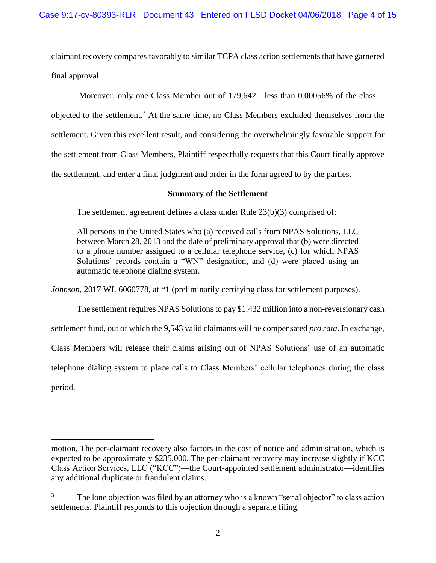claimant recovery compares favorably to similar TCPA class action settlements that have garnered final approval.

Moreover, only one Class Member out of 179,642—less than 0.00056% of the class objected to the settlement.<sup>3</sup> At the same time, no Class Members excluded themselves from the settlement. Given this excellent result, and considering the overwhelmingly favorable support for the settlement from Class Members, Plaintiff respectfully requests that this Court finally approve the settlement, and enter a final judgment and order in the form agreed to by the parties.

## **Summary of the Settlement**

<span id="page-3-0"></span>The settlement agreement defines a class under Rule 23(b)(3) comprised of:

All persons in the United States who (a) received calls from NPAS Solutions, LLC between March 28, 2013 and the date of preliminary approval that (b) were directed to a phone number assigned to a cellular telephone service, (c) for which NPAS Solutions' records contain a "WN" designation, and (d) were placed using an automatic telephone dialing system.

*Johnson*, 2017 WL 6060778, at \*1 (preliminarily certifying class for settlement purposes).

The settlement requires NPAS Solutions to pay \$1.432 million into a non-reversionary cash settlement fund, out of which the 9,543 valid claimants will be compensated *pro rata*. In exchange, Class Members will release their claims arising out of NPAS Solutions' use of an automatic telephone dialing system to place calls to Class Members' cellular telephones during the class period.

 $\overline{a}$ 

motion. The per-claimant recovery also factors in the cost of notice and administration, which is expected to be approximately \$235,000. The per-claimant recovery may increase slightly if KCC Class Action Services, LLC ("KCC")—the Court-appointed settlement administrator—identifies any additional duplicate or fraudulent claims.

 $3\degree$  The lone objection was filed by an attorney who is a known "serial objector" to class action settlements. Plaintiff responds to this objection through a separate filing.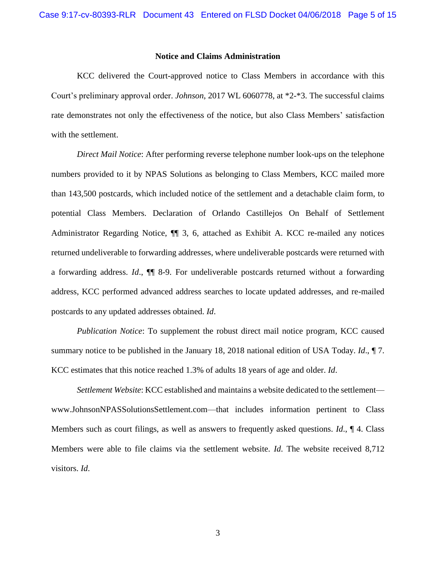#### **Notice and Claims Administration**

<span id="page-4-0"></span>KCC delivered the Court-approved notice to Class Members in accordance with this Court's preliminary approval order. *Johnson*, 2017 WL 6060778, at \*2-\*3. The successful claims rate demonstrates not only the effectiveness of the notice, but also Class Members' satisfaction with the settlement.

*Direct Mail Notice*: After performing reverse telephone number look-ups on the telephone numbers provided to it by NPAS Solutions as belonging to Class Members, KCC mailed more than 143,500 postcards, which included notice of the settlement and a detachable claim form, to potential Class Members. Declaration of Orlando Castillejos On Behalf of Settlement Administrator Regarding Notice, ¶¶ 3, 6, attached as Exhibit A. KCC re-mailed any notices returned undeliverable to forwarding addresses, where undeliverable postcards were returned with a forwarding address. *Id*., ¶¶ 8-9. For undeliverable postcards returned without a forwarding address, KCC performed advanced address searches to locate updated addresses, and re-mailed postcards to any updated addresses obtained. *Id*.

*Publication Notice*: To supplement the robust direct mail notice program, KCC caused summary notice to be published in the January 18, 2018 national edition of USA Today. *Id*., ¶ 7. KCC estimates that this notice reached 1.3% of adults 18 years of age and older. *Id*.

*Settlement Website*: KCC established and maintains a website dedicated to the settlement www.JohnsonNPASSolutionsSettlement.com—that includes information pertinent to Class Members such as court filings, as well as answers to frequently asked questions. *Id*., ¶ 4. Class Members were able to file claims via the settlement website. *Id*. The website received 8,712 visitors. *Id*.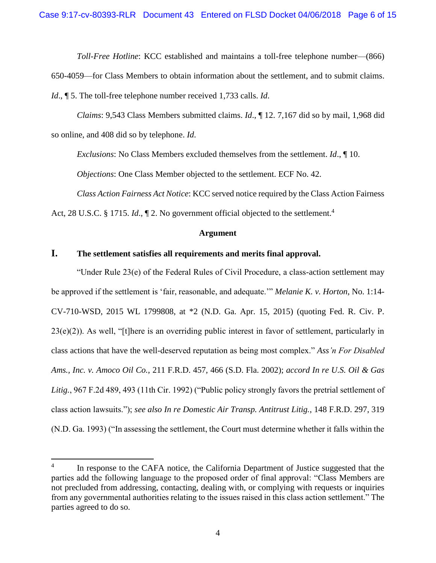*Toll-Free Hotline*: KCC established and maintains a toll-free telephone number—(866)

650-4059—for Class Members to obtain information about the settlement, and to submit claims.

*Id*., ¶ 5. The toll-free telephone number received 1,733 calls. *Id*.

*Claims*: 9,543 Class Members submitted claims. *Id*., ¶ 12. 7,167 did so by mail, 1,968 did so online, and 408 did so by telephone. *Id*.

*Exclusions*: No Class Members excluded themselves from the settlement. *Id*., ¶ 10.

*Objections*: One Class Member objected to the settlement. ECF No. 42.

*Class Action Fairness Act Notice*: KCC served notice required by the Class Action Fairness

<span id="page-5-0"></span>Act, 28 U.S.C. § 1715. *Id.*, ¶ 2. No government official objected to the settlement.<sup>4</sup>

#### **Argument**

# <span id="page-5-1"></span>**I. The settlement satisfies all requirements and merits final approval.**

"Under Rule 23(e) of the Federal Rules of Civil Procedure, a class-action settlement may be approved if the settlement is 'fair, reasonable, and adequate.'" *Melanie K. v. Horton*, No. 1:14- CV-710-WSD, 2015 WL 1799808, at \*2 (N.D. Ga. Apr. 15, 2015) (quoting Fed. R. Civ. P. 23(e)(2)). As well, "[t]here is an overriding public interest in favor of settlement, particularly in class actions that have the well-deserved reputation as being most complex." *Ass'n For Disabled Ams., Inc. v. Amoco Oil Co.*, 211 F.R.D. 457, 466 (S.D. Fla. 2002); *accord In re U.S. Oil & Gas Litig.*, 967 F.2d 489, 493 (11th Cir. 1992) ("Public policy strongly favors the pretrial settlement of class action lawsuits."); *see also In re Domestic Air Transp. Antitrust Litig.*, 148 F.R.D. 297, 319 (N.D. Ga. 1993) ("In assessing the settlement, the Court must determine whether it falls within the

 $\overline{\phantom{a}}$ 

<sup>4</sup> In response to the CAFA notice, the California Department of Justice suggested that the parties add the following language to the proposed order of final approval: "Class Members are not precluded from addressing, contacting, dealing with, or complying with requests or inquiries from any governmental authorities relating to the issues raised in this class action settlement." The parties agreed to do so.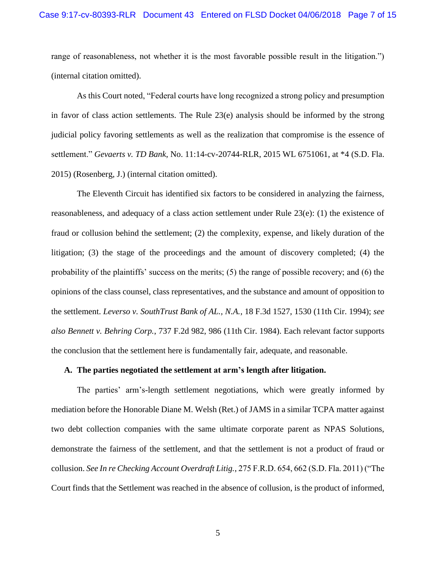range of reasonableness, not whether it is the most favorable possible result in the litigation.") (internal citation omitted).

As this Court noted, "Federal courts have long recognized a strong policy and presumption in favor of class action settlements. The Rule 23(e) analysis should be informed by the strong judicial policy favoring settlements as well as the realization that compromise is the essence of settlement." *Gevaerts v. TD Bank*, No. 11:14-cv-20744-RLR, 2015 WL 6751061, at \*4 (S.D. Fla. 2015) (Rosenberg, J.) (internal citation omitted).

The Eleventh Circuit has identified six factors to be considered in analyzing the fairness, reasonableness, and adequacy of a class action settlement under Rule 23(e): (1) the existence of fraud or collusion behind the settlement; (2) the complexity, expense, and likely duration of the litigation; (3) the stage of the proceedings and the amount of discovery completed; (4) the probability of the plaintiffs' success on the merits; (5) the range of possible recovery; and (6) the opinions of the class counsel, class representatives, and the substance and amount of opposition to the settlement. *Leverso v. SouthTrust Bank of AL., N.A.*, 18 F.3d 1527, 1530 (11th Cir. 1994); *see also Bennett v. Behring Corp.*, 737 F.2d 982, 986 (11th Cir. 1984). Each relevant factor supports the conclusion that the settlement here is fundamentally fair, adequate, and reasonable.

#### <span id="page-6-0"></span>**A. The parties negotiated the settlement at arm's length after litigation.**

The parties' arm's-length settlement negotiations, which were greatly informed by mediation before the Honorable Diane M. Welsh (Ret.) of JAMS in a similar TCPA matter against two debt collection companies with the same ultimate corporate parent as NPAS Solutions, demonstrate the fairness of the settlement, and that the settlement is not a product of fraud or collusion. *See In re Checking Account Overdraft Litig.*, 275 F.R.D. 654, 662 (S.D. Fla. 2011) ("The Court finds that the Settlement was reached in the absence of collusion, is the product of informed,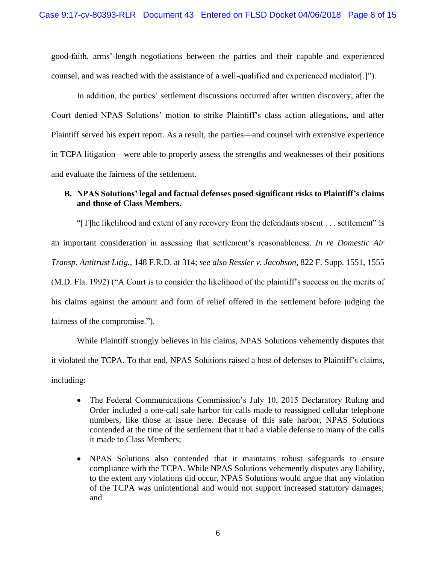good-faith, arms'-length negotiations between the parties and their capable and experienced counsel, and was reached with the assistance of a well-qualified and experienced mediator[.]").

In addition, the parties' settlement discussions occurred after written discovery, after the Court denied NPAS Solutions' motion to strike Plaintiff's class action allegations, and after Plaintiff served his expert report. As a result, the parties—and counsel with extensive experience in TCPA litigation—were able to properly assess the strengths and weaknesses of their positions and evaluate the fairness of the settlement.

# <span id="page-7-0"></span>**B. NPAS Solutions' legal and factual defenses posed significant risks to Plaintiff's claims and those of Class Members.**

"[T]he likelihood and extent of any recovery from the defendants absent . . . settlement" is an important consideration in assessing that settlement's reasonableness. *In re Domestic Air Transp. Antitrust Litig.*, 148 F.R.D. at 314; *see also Ressler v. Jacobson*, 822 F. Supp. 1551, 1555 (M.D. Fla. 1992) ("A Court is to consider the likelihood of the plaintiff's success on the merits of his claims against the amount and form of relief offered in the settlement before judging the fairness of the compromise.").

While Plaintiff strongly believes in his claims, NPAS Solutions vehemently disputes that it violated the TCPA. To that end, NPAS Solutions raised a host of defenses to Plaintiff's claims, including:

- The Federal Communications Commission's July 10, 2015 Declaratory Ruling and Order included a one-call safe harbor for calls made to reassigned cellular telephone numbers, like those at issue here. Because of this safe harbor, NPAS Solutions contended at the time of the settlement that it had a viable defense to many of the calls it made to Class Members;
- NPAS Solutions also contended that it maintains robust safeguards to ensure compliance with the TCPA. While NPAS Solutions vehemently disputes any liability, to the extent any violations did occur, NPAS Solutions would argue that any violation of the TCPA was unintentional and would not support increased statutory damages; and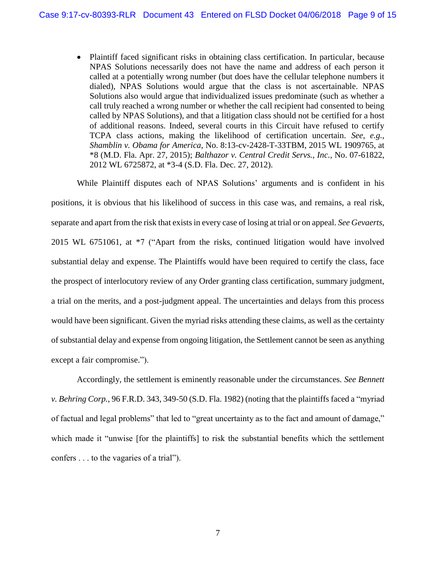• Plaintiff faced significant risks in obtaining class certification. In particular, because NPAS Solutions necessarily does not have the name and address of each person it called at a potentially wrong number (but does have the cellular telephone numbers it dialed), NPAS Solutions would argue that the class is not ascertainable. NPAS Solutions also would argue that individualized issues predominate (such as whether a call truly reached a wrong number or whether the call recipient had consented to being called by NPAS Solutions), and that a litigation class should not be certified for a host of additional reasons. Indeed, several courts in this Circuit have refused to certify TCPA class actions, making the likelihood of certification uncertain. *See, e.g.*, *Shamblin v. Obama for America*, No. 8:13-cv-2428-T-33TBM, 2015 WL 1909765, at \*8 (M.D. Fla. Apr. 27, 2015); *Balthazor v. Central Credit Servs., Inc.*, No. 07-61822, 2012 WL 6725872, at \*3-4 (S.D. Fla. Dec. 27, 2012).

While Plaintiff disputes each of NPAS Solutions' arguments and is confident in his positions, it is obvious that his likelihood of success in this case was, and remains, a real risk, separate and apart from the risk that exists in every case of losing at trial or on appeal. *See Gevaerts*, 2015 WL 6751061, at \*7 ("Apart from the risks, continued litigation would have involved substantial delay and expense. The Plaintiffs would have been required to certify the class, face the prospect of interlocutory review of any Order granting class certification, summary judgment, a trial on the merits, and a post-judgment appeal. The uncertainties and delays from this process would have been significant. Given the myriad risks attending these claims, as well as the certainty of substantial delay and expense from ongoing litigation, the Settlement cannot be seen as anything except a fair compromise.").

Accordingly, the settlement is eminently reasonable under the circumstances. *See Bennett v. Behring Corp.*, 96 F.R.D. 343, 349-50 (S.D. Fla. 1982) (noting that the plaintiffs faced a "myriad of factual and legal problems" that led to "great uncertainty as to the fact and amount of damage," which made it "unwise [for the plaintiffs] to risk the substantial benefits which the settlement confers . . . to the vagaries of a trial").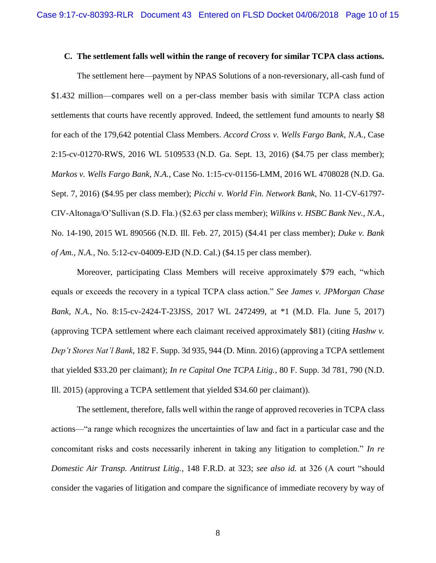#### <span id="page-9-0"></span>**C. The settlement falls well within the range of recovery for similar TCPA class actions.**

The settlement here—payment by NPAS Solutions of a non-reversionary, all-cash fund of \$1.432 million—compares well on a per-class member basis with similar TCPA class action settlements that courts have recently approved. Indeed, the settlement fund amounts to nearly \$8 for each of the 179,642 potential Class Members. *Accord Cross v. Wells Fargo Bank, N.A.*, Case 2:15-cv-01270-RWS, 2016 WL 5109533 (N.D. Ga. Sept. 13, 2016) (\$4.75 per class member); *Markos v. Wells Fargo Bank, N.A.*, Case No. 1:15-cv-01156-LMM, 2016 WL 4708028 (N.D. Ga. Sept. 7, 2016) (\$4.95 per class member); *Picchi v. World Fin. Network Bank*, No. 11-CV-61797- CIV-Altonaga/O'Sullivan (S.D. Fla.) (\$2.63 per class member); *Wilkins v. HSBC Bank Nev., N.A.*, No. 14-190, 2015 WL 890566 (N.D. Ill. Feb. 27, 2015) (\$4.41 per class member); *Duke v. Bank of Am., N.A.*, No. 5:12-cv-04009‐EJD (N.D. Cal.) (\$4.15 per class member).

Moreover, participating Class Members will receive approximately \$79 each, "which equals or exceeds the recovery in a typical TCPA class action." *See James v. JPMorgan Chase Bank, N.A.*, No. 8:15-cv-2424-T-23JSS, 2017 WL 2472499, at \*1 (M.D. Fla. June 5, 2017) (approving TCPA settlement where each claimant received approximately \$81) (citing *Hashw v. Dep't Stores Nat'l Bank*, 182 F. Supp. 3d 935, 944 (D. Minn. 2016) (approving a TCPA settlement that yielded \$33.20 per claimant); *In re Capital One TCPA Litig.*, 80 F. Supp. 3d 781, 790 (N.D. Ill. 2015) (approving a TCPA settlement that yielded \$34.60 per claimant)).

The settlement, therefore, falls well within the range of approved recoveries in TCPA class actions—"a range which recognizes the uncertainties of law and fact in a particular case and the concomitant risks and costs necessarily inherent in taking any litigation to completion." *In re Domestic Air Transp. Antitrust Litig.*, 148 F.R.D. at 323; *see also id.* at 326 (A court "should consider the vagaries of litigation and compare the significance of immediate recovery by way of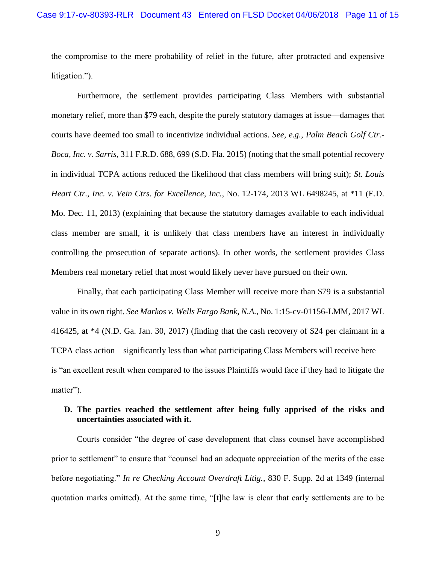the compromise to the mere probability of relief in the future, after protracted and expensive litigation.").

Furthermore, the settlement provides participating Class Members with substantial monetary relief, more than \$79 each, despite the purely statutory damages at issue—damages that courts have deemed too small to incentivize individual actions. *See, e.g.*, *Palm Beach Golf Ctr.- Boca, Inc. v. Sarris*, 311 F.R.D. 688, 699 (S.D. Fla. 2015) (noting that the small potential recovery in individual TCPA actions reduced the likelihood that class members will bring suit); *St. Louis Heart Ctr., Inc. v. Vein Ctrs. for Excellence, Inc.*, No. 12-174, 2013 WL 6498245, at \*11 (E.D. Mo. Dec. 11, 2013) (explaining that because the statutory damages available to each individual class member are small, it is unlikely that class members have an interest in individually controlling the prosecution of separate actions). In other words, the settlement provides Class Members real monetary relief that most would likely never have pursued on their own.

Finally, that each participating Class Member will receive more than \$79 is a substantial value in its own right. *See Markos v. Wells Fargo Bank, N.A.*, No. 1:15-cv-01156-LMM, 2017 WL 416425, at \*4 (N.D. Ga. Jan. 30, 2017) (finding that the cash recovery of \$24 per claimant in a TCPA class action—significantly less than what participating Class Members will receive here is "an excellent result when compared to the issues Plaintiffs would face if they had to litigate the matter").

## <span id="page-10-0"></span>**D. The parties reached the settlement after being fully apprised of the risks and uncertainties associated with it.**

Courts consider "the degree of case development that class counsel have accomplished prior to settlement" to ensure that "counsel had an adequate appreciation of the merits of the case before negotiating." *In re Checking Account Overdraft Litig.*, 830 F. Supp. 2d at 1349 (internal quotation marks omitted). At the same time, "[t]he law is clear that early settlements are to be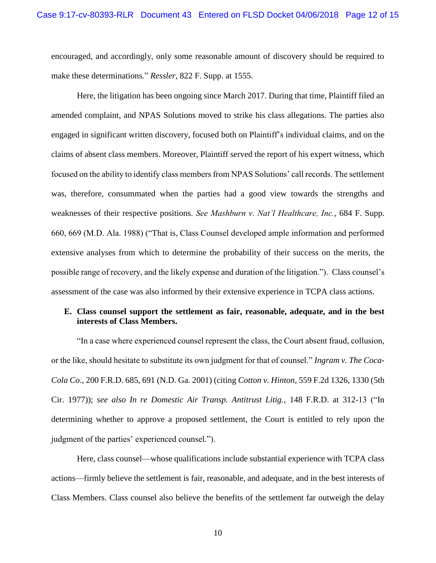encouraged, and accordingly, only some reasonable amount of discovery should be required to make these determinations*.*" *Ressler*, 822 F. Supp. at 1555.

Here, the litigation has been ongoing since March 2017. During that time, Plaintiff filed an amended complaint, and NPAS Solutions moved to strike his class allegations. The parties also engaged in significant written discovery, focused both on Plaintiff's individual claims, and on the claims of absent class members. Moreover, Plaintiff served the report of his expert witness, which focused on the ability to identify class members from NPAS Solutions' call records. The settlement was, therefore, consummated when the parties had a good view towards the strengths and weaknesses of their respective positions. *See Mashburn v. Nat'l Healthcare, Inc.*, 684 F. Supp. 660, 669 (M.D. Ala. 1988) ("That is, Class Counsel developed ample information and performed extensive analyses from which to determine the probability of their success on the merits, the possible range of recovery, and the likely expense and duration of the litigation."). Class counsel's assessment of the case was also informed by their extensive experience in TCPA class actions.

## <span id="page-11-0"></span>**E. Class counsel support the settlement as fair, reasonable, adequate, and in the best interests of Class Members.**

"In a case where experienced counsel represent the class, the Court absent fraud, collusion, or the like, should hesitate to substitute its own judgment for that of counsel." *Ingram v. The Coca-Cola Co.*, 200 F.R.D. 685, 691 (N.D. Ga. 2001) (citing *Cotton v. Hinton*, 559 F.2d 1326, 1330 (5th Cir. 1977)); *see also In re Domestic Air Transp. Antitrust Litig.*, 148 F.R.D. at 312-13 ("In determining whether to approve a proposed settlement, the Court is entitled to rely upon the judgment of the parties' experienced counsel.").

Here, class counsel—whose qualifications include substantial experience with TCPA class actions—firmly believe the settlement is fair, reasonable, and adequate, and in the best interests of Class Members. Class counsel also believe the benefits of the settlement far outweigh the delay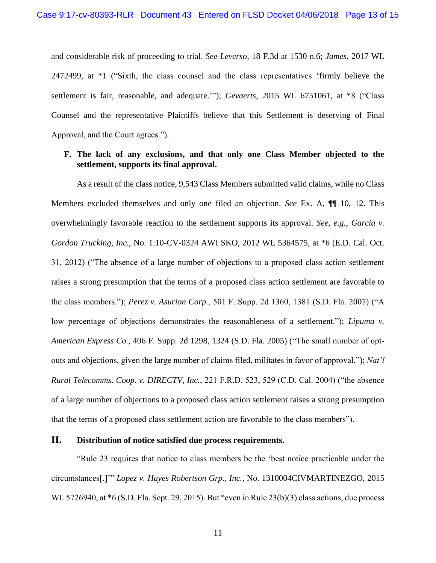and considerable risk of proceeding to trial. *See Leverso*, 18 F.3d at 1530 n.6; *James*, 2017 WL 2472499, at \*1 ("Sixth, the class counsel and the class representatives 'firmly believe the settlement is fair, reasonable, and adequate.'"); *Gevaerts*, 2015 WL 6751061, at \*8 ("Class Counsel and the representative Plaintiffs believe that this Settlement is deserving of Final Approval, and the Court agrees.").

## <span id="page-12-0"></span>**F. The lack of any exclusions, and that only one Class Member objected to the settlement, supports its final approval.**

As a result of the class notice, 9,543 Class Members submitted valid claims, while no Class Members excluded themselves and only one filed an objection. *See* Ex. A, ¶¶ 10, 12. This overwhelmingly favorable reaction to the settlement supports its approval. *See, e.g.*, *Garcia v. Gordon Trucking, Inc.*, No. 1:10-CV-0324 AWI SKO, 2012 WL 5364575, at \*6 (E.D. Cal. Oct. 31, 2012) ("The absence of a large number of objections to a proposed class action settlement raises a strong presumption that the terms of a proposed class action settlement are favorable to the class members."); *Perez v. Asurion Corp.*, 501 F. Supp. 2d 1360, 1381 (S.D. Fla. 2007) ("A low percentage of objections demonstrates the reasonableness of a settlement."); *Lipuma v. American Express Co.*, 406 F. Supp. 2d 1298, 1324 (S.D. Fla. 2005) ("The small number of optouts and objections, given the large number of claims filed, militates in favor of approval."); *Nat'l Rural Telecomms. Coop. v. DIRECTV, Inc.*, 221 F.R.D. 523, 529 (C.D. Cal. 2004) ("the absence of a large number of objections to a proposed class action settlement raises a strong presumption that the terms of a proposed class settlement action are favorable to the class members").

# <span id="page-12-1"></span>**II. Distribution of notice satisfied due process requirements.**

"Rule 23 requires that notice to class members be the 'best notice practicable under the circumstances[.]'" *Lopez v. Hayes Robertson Grp., Inc.*, No. 1310004CIVMARTINEZGO, 2015 WL 5726940, at \*6 (S.D. Fla. Sept. 29, 2015). But "even in Rule 23(b)(3) class actions, due process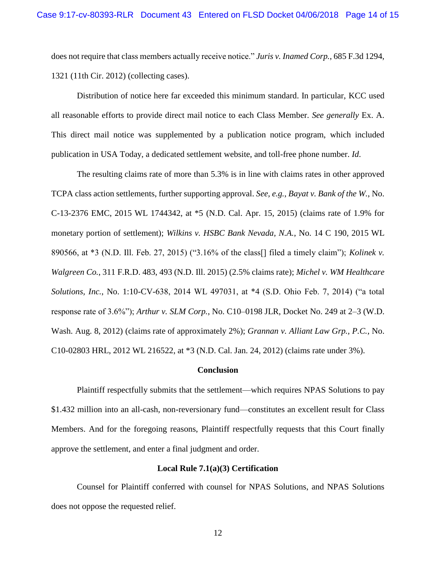does not require that class members actually receive notice." *Juris v. Inamed Corp.*, 685 F.3d 1294, 1321 (11th Cir. 2012) (collecting cases).

Distribution of notice here far exceeded this minimum standard. In particular, KCC used all reasonable efforts to provide direct mail notice to each Class Member. *See generally* Ex. A. This direct mail notice was supplemented by a publication notice program, which included publication in USA Today, a dedicated settlement website, and toll-free phone number. *Id*.

The resulting claims rate of more than 5.3% is in line with claims rates in other approved TCPA class action settlements, further supporting approval. *See, e.g.*, *Bayat v. Bank of the W.*, No. C-13-2376 EMC, 2015 WL 1744342, at \*5 (N.D. Cal. Apr. 15, 2015) (claims rate of 1.9% for monetary portion of settlement); *Wilkins v. HSBC Bank Nevada, N.A.*, No. 14 C 190, 2015 WL 890566, at \*3 (N.D. Ill. Feb. 27, 2015) ("3.16% of the class[] filed a timely claim"); *Kolinek v. Walgreen Co.*, 311 F.R.D. 483, 493 (N.D. Ill. 2015) (2.5% claims rate); *Michel v. WM Healthcare Solutions, Inc.*, No. 1:10-CV-638, 2014 WL 497031, at \*4 (S.D. Ohio Feb. 7, 2014) ("a total response rate of 3.6%"); *Arthur v. SLM Corp.*, No. C10–0198 JLR, Docket No. 249 at 2–3 (W.D. Wash. Aug. 8, 2012) (claims rate of approximately 2%); *Grannan v. Alliant Law Grp., P.C.*, No. C10-02803 HRL, 2012 WL 216522, at \*3 (N.D. Cal. Jan. 24, 2012) (claims rate under 3%).

#### **Conclusion**

<span id="page-13-0"></span>Plaintiff respectfully submits that the settlement—which requires NPAS Solutions to pay \$1.432 million into an all-cash, non-reversionary fund—constitutes an excellent result for Class Members. And for the foregoing reasons, Plaintiff respectfully requests that this Court finally approve the settlement, and enter a final judgment and order.

#### **Local Rule 7.1(a)(3) Certification**

<span id="page-13-1"></span>Counsel for Plaintiff conferred with counsel for NPAS Solutions, and NPAS Solutions does not oppose the requested relief.